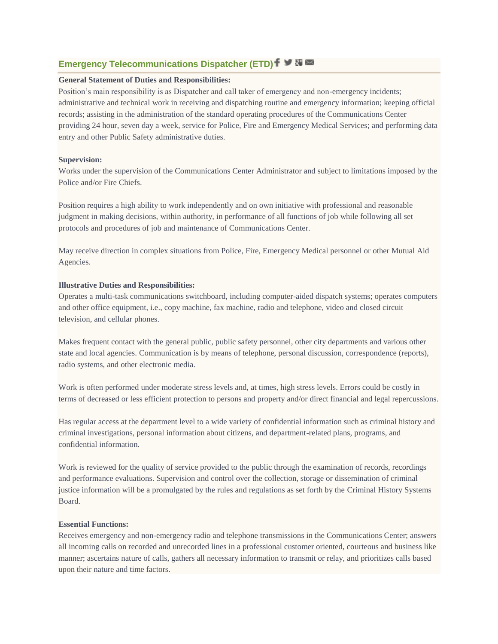# **Emergency Telecommunications Dispatcher (ETD)**  $f \vee \overline{g}$

# **General Statement of Duties and Responsibilities:**

Position's main responsibility is as Dispatcher and call taker of emergency and non-emergency incidents; administrative and technical work in receiving and dispatching routine and emergency information; keeping official records; assisting in the administration of the standard operating procedures of the Communications Center providing 24 hour, seven day a week, service for Police, Fire and Emergency Medical Services; and performing data entry and other Public Safety administrative duties.

### **Supervision:**

Works under the supervision of the Communications Center Administrator and subject to limitations imposed by the Police and/or Fire Chiefs.

Position requires a high ability to work independently and on own initiative with professional and reasonable judgment in making decisions, within authority, in performance of all functions of job while following all set protocols and procedures of job and maintenance of Communications Center.

May receive direction in complex situations from Police, Fire, Emergency Medical personnel or other Mutual Aid Agencies.

## **Illustrative Duties and Responsibilities:**

Operates a multi-task communications switchboard, including computer-aided dispatch systems; operates computers and other office equipment, i.e., copy machine, fax machine, radio and telephone, video and closed circuit television, and cellular phones.

Makes frequent contact with the general public, public safety personnel, other city departments and various other state and local agencies. Communication is by means of telephone, personal discussion, correspondence (reports), radio systems, and other electronic media.

Work is often performed under moderate stress levels and, at times, high stress levels. Errors could be costly in terms of decreased or less efficient protection to persons and property and/or direct financial and legal repercussions.

Has regular access at the department level to a wide variety of confidential information such as criminal history and criminal investigations, personal information about citizens, and department-related plans, programs, and confidential information.

Work is reviewed for the quality of service provided to the public through the examination of records, recordings and performance evaluations. Supervision and control over the collection, storage or dissemination of criminal justice information will be a promulgated by the rules and regulations as set forth by the Criminal History Systems Board.

## **Essential Functions:**

Receives emergency and non-emergency radio and telephone transmissions in the Communications Center; answers all incoming calls on recorded and unrecorded lines in a professional customer oriented, courteous and business like manner; ascertains nature of calls, gathers all necessary information to transmit or relay, and prioritizes calls based upon their nature and time factors.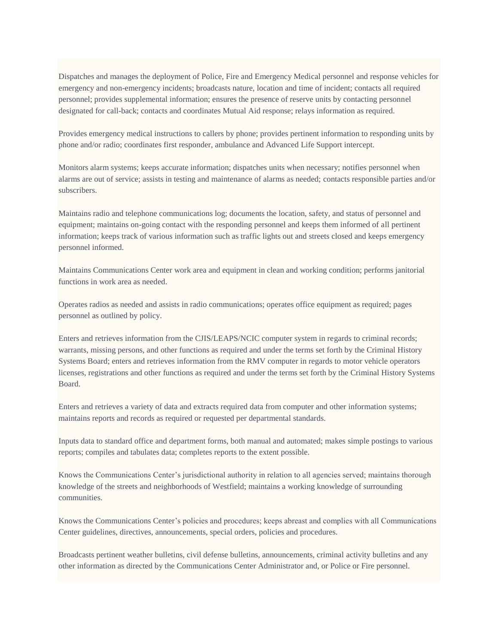Dispatches and manages the deployment of Police, Fire and Emergency Medical personnel and response vehicles for emergency and non-emergency incidents; broadcasts nature, location and time of incident; contacts all required personnel; provides supplemental information; ensures the presence of reserve units by contacting personnel designated for call-back; contacts and coordinates Mutual Aid response; relays information as required.

Provides emergency medical instructions to callers by phone; provides pertinent information to responding units by phone and/or radio; coordinates first responder, ambulance and Advanced Life Support intercept.

Monitors alarm systems; keeps accurate information; dispatches units when necessary; notifies personnel when alarms are out of service; assists in testing and maintenance of alarms as needed; contacts responsible parties and/or subscribers.

Maintains radio and telephone communications log; documents the location, safety, and status of personnel and equipment; maintains on-going contact with the responding personnel and keeps them informed of all pertinent information; keeps track of various information such as traffic lights out and streets closed and keeps emergency personnel informed.

Maintains Communications Center work area and equipment in clean and working condition; performs janitorial functions in work area as needed.

Operates radios as needed and assists in radio communications; operates office equipment as required; pages personnel as outlined by policy.

Enters and retrieves information from the CJIS/LEAPS/NCIC computer system in regards to criminal records; warrants, missing persons, and other functions as required and under the terms set forth by the Criminal History Systems Board; enters and retrieves information from the RMV computer in regards to motor vehicle operators licenses, registrations and other functions as required and under the terms set forth by the Criminal History Systems Board.

Enters and retrieves a variety of data and extracts required data from computer and other information systems; maintains reports and records as required or requested per departmental standards.

Inputs data to standard office and department forms, both manual and automated; makes simple postings to various reports; compiles and tabulates data; completes reports to the extent possible.

Knows the Communications Center's jurisdictional authority in relation to all agencies served; maintains thorough knowledge of the streets and neighborhoods of Westfield; maintains a working knowledge of surrounding communities.

Knows the Communications Center's policies and procedures; keeps abreast and complies with all Communications Center guidelines, directives, announcements, special orders, policies and procedures.

Broadcasts pertinent weather bulletins, civil defense bulletins, announcements, criminal activity bulletins and any other information as directed by the Communications Center Administrator and, or Police or Fire personnel.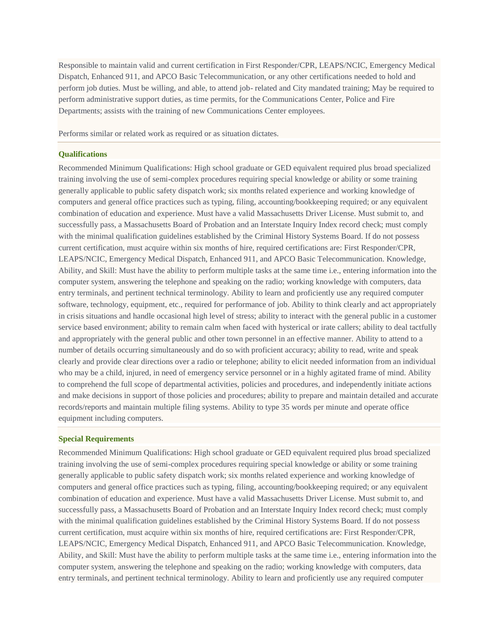Responsible to maintain valid and current certification in First Responder/CPR, LEAPS/NCIC, Emergency Medical Dispatch, Enhanced 911, and APCO Basic Telecommunication, or any other certifications needed to hold and perform job duties. Must be willing, and able, to attend job- related and City mandated training; May be required to perform administrative support duties, as time permits, for the Communications Center, Police and Fire Departments; assists with the training of new Communications Center employees.

Performs similar or related work as required or as situation dictates.

#### **Qualifications**

Recommended Minimum Qualifications: High school graduate or GED equivalent required plus broad specialized training involving the use of semi-complex procedures requiring special knowledge or ability or some training generally applicable to public safety dispatch work; six months related experience and working knowledge of computers and general office practices such as typing, filing, accounting/bookkeeping required; or any equivalent combination of education and experience. Must have a valid Massachusetts Driver License. Must submit to, and successfully pass, a Massachusetts Board of Probation and an Interstate Inquiry Index record check; must comply with the minimal qualification guidelines established by the Criminal History Systems Board. If do not possess current certification, must acquire within six months of hire, required certifications are: First Responder/CPR, LEAPS/NCIC, Emergency Medical Dispatch, Enhanced 911, and APCO Basic Telecommunication. Knowledge, Ability, and Skill: Must have the ability to perform multiple tasks at the same time i.e., entering information into the computer system, answering the telephone and speaking on the radio; working knowledge with computers, data entry terminals, and pertinent technical terminology. Ability to learn and proficiently use any required computer software, technology, equipment, etc., required for performance of job. Ability to think clearly and act appropriately in crisis situations and handle occasional high level of stress; ability to interact with the general public in a customer service based environment; ability to remain calm when faced with hysterical or irate callers; ability to deal tactfully and appropriately with the general public and other town personnel in an effective manner. Ability to attend to a number of details occurring simultaneously and do so with proficient accuracy; ability to read, write and speak clearly and provide clear directions over a radio or telephone; ability to elicit needed information from an individual who may be a child, injured, in need of emergency service personnel or in a highly agitated frame of mind. Ability to comprehend the full scope of departmental activities, policies and procedures, and independently initiate actions and make decisions in support of those policies and procedures; ability to prepare and maintain detailed and accurate records/reports and maintain multiple filing systems. Ability to type 35 words per minute and operate office equipment including computers.

## **Special Requirements**

Recommended Minimum Qualifications: High school graduate or GED equivalent required plus broad specialized training involving the use of semi-complex procedures requiring special knowledge or ability or some training generally applicable to public safety dispatch work; six months related experience and working knowledge of computers and general office practices such as typing, filing, accounting/bookkeeping required; or any equivalent combination of education and experience. Must have a valid Massachusetts Driver License. Must submit to, and successfully pass, a Massachusetts Board of Probation and an Interstate Inquiry Index record check; must comply with the minimal qualification guidelines established by the Criminal History Systems Board. If do not possess current certification, must acquire within six months of hire, required certifications are: First Responder/CPR, LEAPS/NCIC, Emergency Medical Dispatch, Enhanced 911, and APCO Basic Telecommunication. Knowledge, Ability, and Skill: Must have the ability to perform multiple tasks at the same time i.e., entering information into the computer system, answering the telephone and speaking on the radio; working knowledge with computers, data entry terminals, and pertinent technical terminology. Ability to learn and proficiently use any required computer